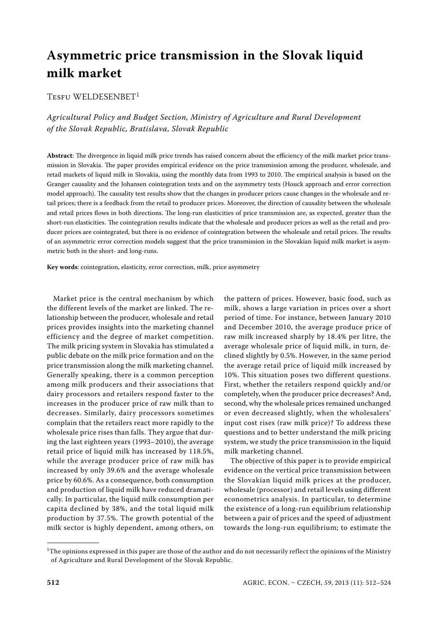# **Asymmetric price transmission in the Slovak liquid milk market**

# TESFU WELDESENBET<sup>1</sup>

*Agricultural Policy and Budget Section, Ministry of Agriculture and Rural Development of the Slovak Republic, Bratislava, Slovak Republic*

Abstract: The divergence in liquid milk price trends has raised concern about the efficiency of the milk market price transmission in Slovakia. The paper provides empirical evidence on the price transmission among the producer, wholesale, and retail markets of liquid milk in Slovakia, using the monthly data from 1993 to 2010. The empirical analysis is based on the Granger causality and the Johansen cointegration tests and on the asymmetry tests (Houck approach and error correction model approach). The causality test results show that the changes in producer prices cause changes in the wholesale and retail prices; there is a feedback from the retail to producer prices. Moreover, the direction of causality between the wholesale and retail prices flows in both directions. The long-run elasticities of price transmission are, as expected, greater than the short-run elasticities. The cointegration results indicate that the wholesale and producer prices as well as the retail and producer prices are cointegrated, but there is no evidence of cointegration between the wholesale and retail prices. The results of an asymmetric error correction models suggest that the price transmission in the Slovakian liquid milk market is asymmetric both in the short- and long-runs.

**Key words**: cointegration, elasticity, error correction, milk, price asymmetry

Market price is the central mechanism by which the different levels of the market are linked. The relationship between the producer, wholesale and retail prices provides insights into the marketing channel efficiency and the degree of market competition. The milk pricing system in Slovakia has stimulated a public debate on the milk price formation and on the price transmission along the milk marketing channel. Generally speaking, there is a common perception among milk producers and their associations that dairy processors and retailers respond faster to the increases in the producer price of raw milk than to decreases. Similarly, dairy processors sometimes complain that the retailers react more rapidly to the wholesale price rises than falls. They argue that during the last eighteen years (1993–2010), the average retail price of liquid milk has increased by 118.5%, while the average producer price of raw milk has increased by only 39.6% and the average wholesale price by 60.6%. As a consequence, both consumption and production of liquid milk have reduced dramatically. In particular, the liquid milk consumption per capita declined by 38%, and the total liquid milk production by 37.5%. The growth potential of the milk sector is highly dependent, among others, on

the pattern of prices. However, basic food, such as milk, shows a large variation in prices over a short period of time. For instance, between January 2010 and December 2010, the average produce price of raw milk increased sharply by 18.4% per litre, the average wholesale price of liquid milk, in turn, declined slightly by 0.5%. However, in the same period the average retail price of liquid milk increased by 10%. This situation poses two different questions. First, whether the retailers respond quickly and/or completely, when the producer price decreases? And, second, why the wholesale prices remained unchanged or even decreased slightly, when the wholesalers' input cost rises (raw milk price)? To address these questions and to better understand the milk pricing system, we study the price transmission in the liquid milk marketing channel.

The objective of this paper is to provide empirical evidence on the vertical price transmission between the Slovakian liquid milk prices at the producer, wholesale (processor) and retail levels using different econometrics analysis. In particular, to determine the existence of a long-run equilibrium relationship between a pair of prices and the speed of adjustment towards the long-run equilibrium; to estimate the

 $1$ The opinions expressed in this paper are those of the author and do not necessarily reflect the opinions of the Ministry of Agriculture and Rural Development of the Slovak Republic.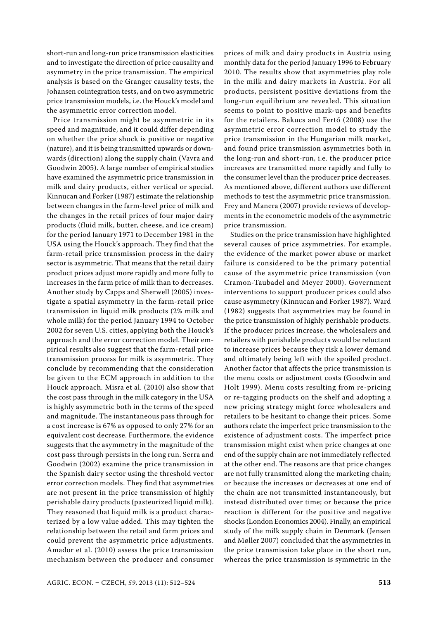short-run and long-run price transmission elasticities and to investigate the direction of price causality and asymmetry in the price transmission. The empirical analysis is based on the Granger causality tests, the Johansen cointegration tests, and on two asymmetric price transmission models, i.e. the Houck's model and the asymmetric error correction model.

Price transmission might be asymmetric in its speed and magnitude, and it could differ depending on whether the price shock is positive or negative (nature), and it is being transmitted upwards or downwards (direction) along the supply chain (Vavra and Goodwin 2005). A large number of empirical studies have examined the asymmetric price transmission in milk and dairy products, either vertical or special. Kinnucan and Forker (1987) estimate the relationship between changes in the farm-level price of milk and the changes in the retail prices of four major dairy products (fluid milk, butter, cheese, and ice cream) for the period January 1971 to December 1981 in the USA using the Houck's approach. They find that the farm-retail price transmission process in the dairy sector is asymmetric. That means that the retail dairy product prices adjust more rapidly and more fully to increases in the farm price of milk than to decreases. Another study by Capps and Sherwell (2005) investigate a spatial asymmetry in the farm-retail price transmission in liquid milk products (2% milk and whole milk) for the period January 1994 to October 2002 for seven U.S. cities, applying both the Houck's approach and the error correction model. Their empirical results also suggest that the farm-retail price transmission process for milk is asymmetric. They conclude by recommending that the consideration be given to the ECM approach in addition to the Houck approach. Misra et al. (2010) also show that the cost pass through in the milk category in the USA is highly asymmetric both in the terms of the speed and magnitude. The instantaneous pass through for a cost increase is 67% as opposed to only 27% for an equivalent cost decrease. Furthermore, the evidence suggests that the asymmetry in the magnitude of the cost pass through persists in the long run. Serra and Goodwin (2002) examine the price transmission in the Spanish dairy sector using the threshold vector error correction models. They find that asymmetries are not present in the price transmission of highly perishable dairy products (pasteurized liquid milk). They reasoned that liquid milk is a product characterized by a low value added. This may tighten the relationship between the retail and farm prices and could prevent the asymmetric price adjustments. Amador et al. (2010) assess the price transmission mechanism between the producer and consumer

prices of milk and dairy products in Austria using monthly data for the period January 1996 to February 2010. The results show that asymmetries play role in the milk and dairy markets in Austria. For all products, persistent positive deviations from the long-run equilibrium are revealed. This situation seems to point to positive mark-ups and benefits for the retailers. Bakucs and Fertő (2008) use the asymmetric error correction model to study the price transmission in the Hungarian milk market, and found price transmission asymmetries both in the long-run and short-run, i.e. the producer price increases are transmitted more rapidly and fully to the consumer level than the producer price decreases. As mentioned above, different authors use different methods to test the asymmetric price transmission. Frey and Manera (2007) provide reviews of developments in the econometric models of the asymmetric price transmission.

Studies on the price transmission have highlighted several causes of price asymmetries. For example, the evidence of the market power abuse or market failure is considered to be the primary potential cause of the asymmetric price transmission (von Cramon-Taubadel and Meyer 2000). Government interventions to support producer prices could also cause asymmetry (Kinnucan and Forker 1987). Ward (1982) suggests that asymmetries may be found in the price transmission of highly perishable products. If the producer prices increase, the wholesalers and retailers with perishable products would be reluctant to increase prices because they risk a lower demand and ultimately being left with the spoiled product. Another factor that affects the price transmission is the menu costs or adjustment costs (Goodwin and Holt 1999). Menu costs resulting from re-pricing or re-tagging products on the shelf and adopting a new pricing strategy might force wholesalers and retailers to be hesitant to change their prices. Some authors relate the imperfect price transmission to the existence of adjustment costs. The imperfect price transmission might exist when price changes at one end of the supply chain are not immediately reflected at the other end. The reasons are that price changes are not fully transmitted along the marketing chain; or because the increases or decreases at one end of the chain are not transmitted instantaneously, but instead distributed over time; or because the price reaction is different for the positive and negative shocks (London Economics 2004). Finally, an empirical study of the milk supply chain in Denmark (Jensen and Møller 2007) concluded that the asymmetries in the price transmission take place in the short run, whereas the price transmission is symmetric in the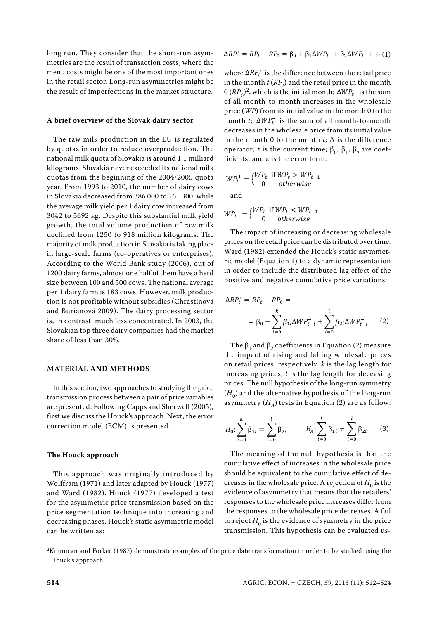long run. They consider that the short-run asymmetries are the result of transaction costs, where the menu costs might be one of the most important ones in the retail sector. Long-run asymmetries might be the result of imperfections in the market structure.

## **A brief overview of the Slovak dairy sector**

The raw milk production in the EU is regulated by quotas in order to reduce overproduction. The national milk quota of Slovakia is around 1.1 milliard kilograms. Slovakia never exceeded its national milk quotas from the beginning of the 2004/2005 quota year. From 1993 to 2010, the number of dairy cows in Slovakia decreased from 386 000 to 161 300, while the average milk yield per 1 dairy cow increased from 3042 to 5692 kg. Despite this substantial milk yield growth, the total volume production of raw milk declined from 1250 to 918 million kilograms. The majority of milk production in Slovakia is taking place in large-scale farms (co-operatives or enterprises). According to the World Bank study (2006), out of 1200 dairy farms, almost one half of them have a herd size between 100 and 500 cows. The national average per 1 dairy farm is 183 cows. However, milk production is not profitable without subsidies (Chrastinová and Burianová 2009). The dairy processing sector is, in contrast, much less concentrated. In 2003, the Slovakian top three dairy companies had the market share of less than 30%.

# **MATERIAL AND METHODS**

In this section, two approaches to studying the price transmission process between a pair of price variables are presented. Following Capps and Sherwell (2005), first we discuss the Houck's approach. Next, the error correction model (ECM) is presented.

# **The Houck approach**

This approach was originally introduced by Wolffram (1971) and later adapted by Houck (1977) and Ward (1982). Houck (1977) developed a test for the asymmetric price transmission based on the price segmentation technique into increasing and decreasing phases. Houck's static asymmetric model can be written as:

$$
\Delta RP_t^* = RP_t - RP_0 = \beta_0 + \beta_1 \Delta WP_t^+ + \beta_2 \Delta WP_t^- + \varepsilon_t(1)
$$

where  $\Delta RP_t^*$  is the difference between the retail price in the month  $t$  ( $RP_t$ ) and the retail price in the month 0  $(RP_0)^2$ , which is the initial month;  $\Delta WP_t^+$  is the sum of all month-to-month increases in the wholesale price (*WP*) from its initial value in the month 0 to the month *t*;  $\Delta WP_t^-$  is the sum of all month-to-month decreases in the wholesale price from its initial value in the month 0 to the month  $t$ ;  $\Delta$  is the difference operator; *t* is the current time;  $β_0$ ,  $β_1$ ,  $β_2$  are coefficients, and ε is the error term.

$$
WP_t^+ = \begin{cases} WP_t & \text{if } WP_t > WP_{t-1} \\ 0 & \text{otherwise} \end{cases}
$$

and

$$
WP_t^- = \begin{cases} WP_t & \text{if } WP_t < WP_{t-1} \\ 0 & \text{otherwise} \end{cases}
$$

The impact of increasing or decreasing wholesale prices on the retail price can be distributed over time. Ward (1982) extended the Houck's static asymmetric model (Equation 1) to a dynamic representation in order to include the distributed lag effect of the positive and negative cumulative price variations:

$$
\Delta RP_t^* = RP_t - RP_0 =
$$
  
=  $\beta_0 + \sum_{i=0}^k \beta_{1i} \Delta WP_{t-i}^+ + \sum_{i=0}^l \beta_{2i} \Delta WP_{t-i}^-$  (2)

The  $\beta_1$  and  $\beta_2$  coefficients in Equation (2) measure the impact of rising and falling wholesale prices on retail prices, respectively. *k* is the lag length for increasing prices; *l* is the lag length for deceasing prices. The null hypothesis of the long-run symmetry  $(H<sub>0</sub>)$  and the alternative hypothesis of the long-run asymmetry  $(H_A)$  tests in Equation (2) are as follow:

$$
H_0: \sum_{i=0}^k \beta_{1i} = \sum_{i=0}^l \beta_{2i} \qquad H_A: \sum_{i=0}^k \beta_{1i} \neq \sum_{i=0}^l \beta_{2i} \qquad (3)
$$

The meaning of the null hypothesis is that the cumulative effect of increases in the wholesale price should be equivalent to the cumulative effect of decreases in the wholesale price. A rejection of  $H_0$  is the evidence of asymmetry that means that the retailers' responses to the wholesale price increases differ from the responses to the wholesale price decreases. A fail to reject  $H_0$  is the evidence of symmetry in the price transmission. This hypothesis can be evaluated us-

 $2$ Kinnucan and Forker (1987) demonstrate examples of the price date transformation in order to be studied using the Houck's approach.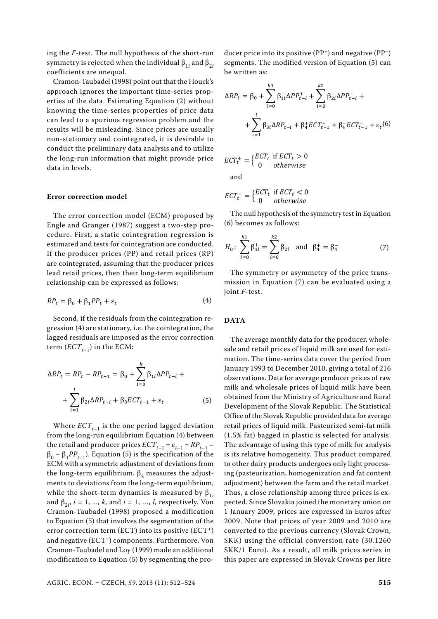ing the *F*-test. The null hypothesis of the short-run symmetry is rejected when the individual  $\boldsymbol{\beta}_{1i}$  and  $\boldsymbol{\beta}_{2i}$ coefficients are unequal.

Cramon-Taubadel (1998) point out that the Houck's approach ignores the important time-series properties of the data. Estimating Equation (2) without knowing the time-series properties of price data can lead to a spurious regression problem and the results will be misleading. Since prices are usually non-stationary and cointegrated, it is desirable to conduct the preliminary data analysis and to utilize the long-run information that might provide price data in levels.

# **Error correction model**

The error correction model (ECM) proposed by Engle and Granger (1987) suggest a two-step procedure. First, a static cointegration regression is estimated and tests for cointegration are conducted. If the producer prices (PP) and retail prices (RP) are cointegrated, assuming that the producer prices lead retail prices, then their long-term equilibrium relationship can be expressed as follows:

$$
RP_t = \beta_0 + \beta_1 PP_t + \varepsilon_t \tag{4}
$$

Second, if the residuals from the cointegration regression (4) are stationary, i.e. the cointegration, the lagged residuals are imposed as the error correction term  $(ECT<sub>t-1</sub>)$  in the ECM:

$$
\Delta RP_t = RP_t - RP_{t-1} = \beta_0 + \sum_{i=0}^k \beta_{1i} \Delta PP_{t-i} + \sum_{i=1}^l \beta_{2i} \Delta RP_{t-i} + \beta_3 ECT_{t-1} + \varepsilon_t \tag{5}
$$

Where  $ECT_{t-1}$  is the one period lagged deviation from the long-run equilibrium Equation (4) between the retail and producer prices  $ECT_{t-1} = \varepsilon_{t-1} = RP_{t-1} \beta_0 - \beta_1 PP_{t-1}$ ). Equation (5) is the specification of the ECM with a symmetric adjustment of deviations from the long-term equilibrium.  $β_3$  measures the adjustments to deviations from the long-term equilibrium, while the short-term dynamics is measured by  $\beta_{1i}$ and β2*<sup>i</sup>* , *i* = 1, ..., *k*, and *i* = 1, …, *l*, respectively. Von Cramon-Taubadel (1998) proposed a modification to Equation (5) that involves the segmentation of the error correction term (ECT) into its positive (ECT*+*) and negative (ECT*–*) components. Furthermore, Von Cramon-Taubadel and Loy (1999) made an additional modification to Equation (5) by segmenting the pro-

ducer price into its positive (PP*+*) and negative (PP*–*) segments. The modified version of Equation (5) can be written as:

$$
\Delta RP_t = \beta_0 + \sum_{i=0}^{k_1} \beta_{1i}^+ \Delta PP_{t-i}^+ + \sum_{i=0}^{k_2} \beta_{2i}^- \Delta PP_{t-i}^- + \sum_{i=1}^l \beta_{3i} \Delta RP_{t-i} + \beta_4^+ ECT_{t-1}^+ + \beta_4^- ECT_{t-1}^- + \varepsilon_t(6)
$$

 $\textit{ECT}_{t}^{+} = \left\{ \begin{matrix} \textit{ECT}_{t} & \text{if } \textit{ECT}_{t} > 0 \\ 0 & \text{otherwise} \end{matrix} \right.$ 

and

$$
ECTt- = \begin{cases} ECT_t & \text{if } ECT_t < 0\\ 0 & otherwise \end{cases}
$$

The null hypothesis of the symmetry test in Equation (6) becomes as follows:

$$
H_0: \sum_{i=0}^{k_1} \beta_{1i}^+ = \sum_{i=0}^{k_2} \beta_{2i}^- \text{ and } \beta_4^+ = \beta_4^- \tag{7}
$$

The symmetry or asymmetry of the price transmission in Equation (7) can be evaluated using a joint *F*-test.

## **DATA**

The average monthly data for the producer, wholesale and retail prices of liquid milk are used for estimation. The time-series data cover the period from January 1993 to December 2010, giving a total of 216 observations. Data for average producer prices of raw milk and wholesale prices of liquid milk have been obtained from the Ministry of Agriculture and Rural Development of the Slovak Republic. The Statistical Office of the Slovak Republic provided data for average retail prices of liquid milk. Pasteurized semi-fat milk (1.5% fat) bagged in plastic is selected for analysis. The advantage of using this type of milk for analysis is its relative homogeneity. This product compared to other dairy products undergoes only light processing (pasteurization, homogenization and fat content adjustment) between the farm and the retail market. Thus, a close relationship among three prices is expected. Since Slovakia joined the monetary union on 1 January 2009, prices are expressed in Euros after 2009. Note that prices of year 2009 and 2010 are converted to the previous currency (Slovak Crown, SKK) using the official conversion rate (30.1260 SKK/1 Euro). As a result, all milk prices series in this paper are expressed in Slovak Crowns per litre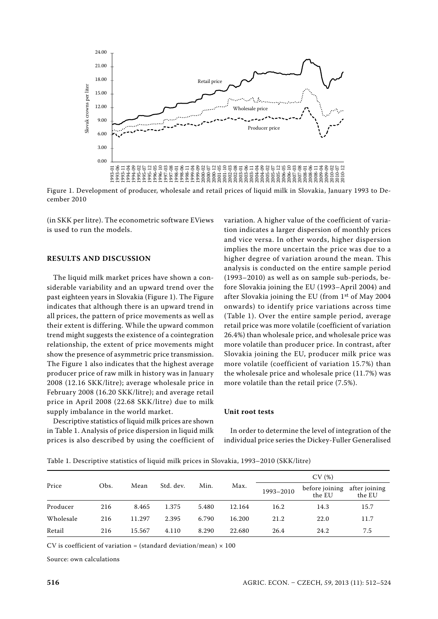

Figure 1. Development of producer, wholesale and retail prices of liquid milk in Slovakia, January 1993 to December 2010

(in SKK per litre). The econometric software EViews is used to run the models.

# **RESULTS AND DISCUSSION**

The liquid milk market prices have shown a considerable variability and an upward trend over the past eighteen years in Slovakia (Figure 1). The Figure indicates that although there is an upward trend in all prices, the pattern of price movements as well as their extent is differing. While the upward common trend might suggests the existence of a cointegration relationship, the extent of price movements might show the presence of asymmetric price transmission. The Figure 1 also indicates that the highest average producer price of raw milk in history was in January 2008 (12.16 SKK/litre); average wholesale price in February 2008 (16.20 SKK/litre); and average retail price in April 2008 (22.68 SKK/litre) due to milk supply imbalance in the world market.

Descriptive statistics of liquid milk prices are shown in Table 1. Analysis of price dispersion in liquid milk prices is also described by using the coefficient of variation. A higher value of the coefficient of variation indicates a larger dispersion of monthly prices and vice versa. In other words, higher dispersion implies the more uncertain the price was due to a higher degree of variation around the mean. This analysis is conducted on the entire sample period (1993–2010) as well as on sample sub-periods, before Slovakia joining the EU (1993–April 2004) and after Slovakia joining the EU (from 1st of May 2004 onwards) to identify price variations across time (Table 1). Over the entire sample period, average retail price was more volatile (coefficient of variation 26.4%) than wholesale price, and wholesale price was more volatile than producer price. In contrast, after Slovakia joining the EU, producer milk price was more volatile (coefficient of variation 15.7%) than the wholesale price and wholesale price (11.7%) was more volatile than the retail price (7.5%).

# **Unit root tests**

In order to determine the level of integration of the individual price series the Dickey-Fuller Generalised

|           |      |        |           |       |        | CV(%)     |                          |                         |  |
|-----------|------|--------|-----------|-------|--------|-----------|--------------------------|-------------------------|--|
| Price     | Obs. | Mean   | Std. dev. | Min.  | Max.   | 1993-2010 | before joining<br>the EU | after joining<br>the EU |  |
| Producer  | 216  | 8.465  | 1.375     | 5.480 | 12.164 | 16.2      | 14.3                     | 15.7                    |  |
| Wholesale | 216  | 11.297 | 2.395     | 6.790 | 16.200 | 21.2      | 22.0                     | 11.7                    |  |
| Retail    | 216  | 15.567 | 4.110     | 8.290 | 22.680 | 26.4      | 24.2                     | 7.5                     |  |

Table 1. Descriptive statistics of liquid milk prices in Slovakia, 1993–2010 (SKK/litre)

CV is coefficient of variation = (standard deviation/mean)  $\times$  100

Source: own calculations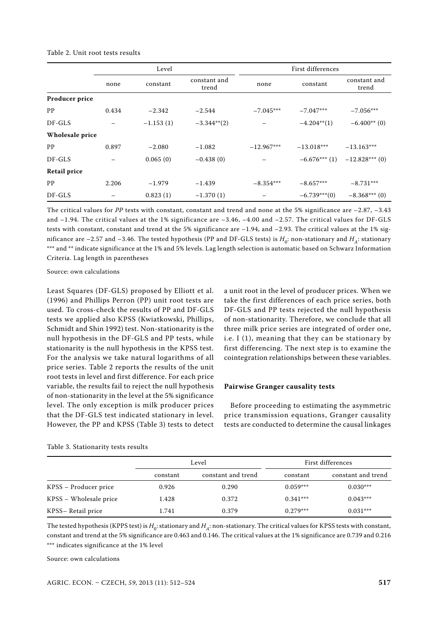| Table 2. Unit root tests results |
|----------------------------------|
|----------------------------------|

|                       | Level |             |                       | First differences |                |                       |
|-----------------------|-------|-------------|-----------------------|-------------------|----------------|-----------------------|
|                       | none  | constant    | constant and<br>trend | none              | constant       | constant and<br>trend |
| <b>Producer price</b> |       |             |                       |                   |                |                       |
| PP                    | 0.434 | $-2.342$    | $-2.544$              | $-7.045***$       | $-7.047***$    | $-7.056***$           |
| DF-GLS                |       | $-1.153(1)$ | $-3.344**$ (2)        |                   | $-4.204**$ (1) | $-6.400**$ (0)        |
| Wholesale price       |       |             |                       |                   |                |                       |
| PP                    | 0.897 | $-2.080$    | $-1.082$              | $-12.967***$      | $-13.018***$   | $-13.163***$          |
| DF-GLS                |       | 0.065(0)    | $-0.438(0)$           |                   | $-6.676***(1)$ | $-12.828***(0)$       |
| <b>Retail price</b>   |       |             |                       |                   |                |                       |
| PP                    | 2.206 | $-1.979$    | $-1.439$              | $-8.354***$       | $-8.657***$    | $-8.731***$           |
| DF-GLS                |       | 0.823(1)    | $-1.370(1)$           |                   | $-6.739***(0)$ | $-8.368***(0)$        |

The critical values for *PP* tests with constant, constant and trend and none at the 5% significance are  $-2.87, -3.43$ and –1.94. The critical values at the 1% significance are –3.46, –4.00 and –2.57. The critical values for DF-GLS tests with constant, constant and trend at the 5% significance are –1.94, and –2.93. The critical values at the 1% significance are  $-2.57$  and  $-3.46$ . The tested hypothesis (PP and DF-GLS tests) is  $H_0$ : non-stationary and  $H_A$ : stationary \*\*\* and \*\* indicate significance at the 1% and 5% levels. Lag length selection is automatic based on Schwarz Information Criteria. Lag length in parentheses

Source: own calculations

Least Squares (DF-GLS) proposed by Elliott et al. (1996) and Phillips Perron (PP) unit root tests are used. To cross-check the results of PP and DF-GLS tests we applied also KPSS (Kwiatkowski, Phillips, Schmidt and Shin 1992) test. Non-stationarity is the null hypothesis in the DF-GLS and PP tests, while stationarity is the null hypothesis in the KPSS test. For the analysis we take natural logarithms of all price series. Table 2 reports the results of the unit root tests in level and first difference. For each price variable, the results fail to reject the null hypothesis of non-stationarity in the level at the 5% significance level. The only exception is milk producer prices that the DF-GLS test indicated stationary in level. However, the PP and KPSS (Table 3) tests to detect a unit root in the level of producer prices. When we take the first differences of each price series, both DF-GLS and PP tests rejected the null hypothesis of non-stationarity. Therefore, we conclude that all three milk price series are integrated of order one, i.e. I (1), meaning that they can be stationary by first differencing. The next step is to examine the cointegration relationships between these variables.

## **Pairwise Granger causality tests**

Before proceeding to estimating the asymmetric price transmission equations, Granger causality tests are conducted to determine the causal linkages

|                        |          | Level              | First differences |                    |  |
|------------------------|----------|--------------------|-------------------|--------------------|--|
|                        | constant | constant and trend | constant          | constant and trend |  |
| KPSS – Producer price  | 0.926    | 0.290              | $0.059***$        | $0.030***$         |  |
| KPSS – Wholesale price | 1.428    | 0.372              | $0.341***$        | $0.043***$         |  |
| KPSS-Retail price      | 1.741    | 0.379              | $0.279***$        | $0.031***$         |  |

Table 3. Stationarity tests results

The tested hypothesis (KPPS test) is  $H_0$ : stationary and  $H_A$ : non-stationary. The critical values for KPSS tests with constant, constant and trend at the 5% significance are 0.463 and 0.146. The critical values at the 1% significance are 0.739 and 0.216 \*\*\* indicates significance at the 1% level

Source: own calculations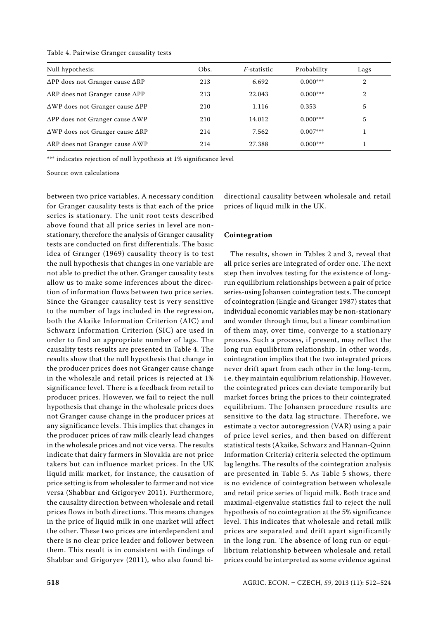Table 4. Pairwise Granger causality tests

| Null hypothesis:                               | Obs. | <i>F</i> -statistic | Probability | Lags |
|------------------------------------------------|------|---------------------|-------------|------|
| $\Delta PP$ does not Granger cause $\Delta RP$ | 213  | 6.692               | $0.000***$  | 2    |
| $\Delta$ RP does not Granger cause $\Delta$ PP | 213  | 22.043              | $0.000***$  | 2    |
| $\Delta$ WP does not Granger cause $\Delta$ PP | 210  | 1.116               | 0.353       | 5    |
| $\Delta PP$ does not Granger cause $\Delta WP$ | 210  | 14.012              | $0.000***$  | 5    |
| $\Delta$ WP does not Granger cause $\Delta$ RP | 214  | 7.562               | $0.007***$  |      |
| $\Delta$ RP does not Granger cause $\Delta$ WP | 214  | 27.388              | $0.000***$  |      |

\*\*\* indicates rejection of null hypothesis at 1% significance level

Source: own calculations

between two price variables. A necessary condition for Granger causality tests is that each of the price series is stationary. The unit root tests described above found that all price series in level are nonstationary, therefore the analysis of Granger causality tests are conducted on first differentials. The basic idea of Granger (1969) causality theory is to test the null hypothesis that changes in one variable are not able to predict the other. Granger causality tests allow us to make some inferences about the direction of information flows between two price series. Since the Granger causality test is very sensitive to the number of lags included in the regression, both the Akaike Information Criterion (AIC) and Schwarz Information Criterion (SIC) are used in order to find an appropriate number of lags. The causality tests results are presented in Table 4. The results show that the null hypothesis that change in the producer prices does not Granger cause change in the wholesale and retail prices is rejected at 1% significance level. There is a feedback from retail to producer prices. However, we fail to reject the null hypothesis that change in the wholesale prices does not Granger cause change in the producer prices at any significance levels. This implies that changes in the producer prices of raw milk clearly lead changes in the wholesale prices and not vice versa. The results indicate that dairy farmers in Slovakia are not price takers but can influence market prices. In the UK liquid milk market, for instance, the causation of price setting is from wholesaler to farmer and not vice versa (Shabbar and Grigoryev 2011). Furthermore, the causality direction between wholesale and retail prices flows in both directions. This means changes in the price of liquid milk in one market will affect the other. These two prices are interdependent and there is no clear price leader and follower between them. This result is in consistent with findings of Shabbar and Grigoryev (2011), who also found bidirectional causality between wholesale and retail prices of liquid milk in the UK.

## **Cointegration**

The results, shown in Tables 2 and 3, reveal that all price series are integrated of order one. The next step then involves testing for the existence of longrun equilibrium relationships between a pair of price series-using Johansen cointegration tests. The concept of cointegration (Engle and Granger 1987) states that individual economic variables may be non-stationary and wonder through time, but a linear combination of them may, over time, converge to a stationary process. Such a process, if present, may reflect the long run equilibrium relationship. In other words, cointegration implies that the two integrated prices never drift apart from each other in the long-term, i.e. they maintain equilibrium relationship. However, the cointegrated prices can deviate temporarily but market forces bring the prices to their cointegrated equilibrium. The Johansen procedure results are sensitive to the data lag structure. Therefore, we estimate a vector autoregression (VAR) using a pair of price level series, and then based on different statistical tests (Akaike, Schwarz and Hannan-Quinn Information Criteria) criteria selected the optimum lag lengths. The results of the cointegration analysis are presented in Table 5. As Table 5 shows, there is no evidence of cointegration between wholesale and retail price series of liquid milk. Both trace and maximal-eigenvalue statistics fail to reject the null hypothesis of no cointegration at the 5% significance level. This indicates that wholesale and retail milk prices are separated and drift apart significantly in the long run. The absence of long run or equilibrium relationship between wholesale and retail prices could be interpreted as some evidence against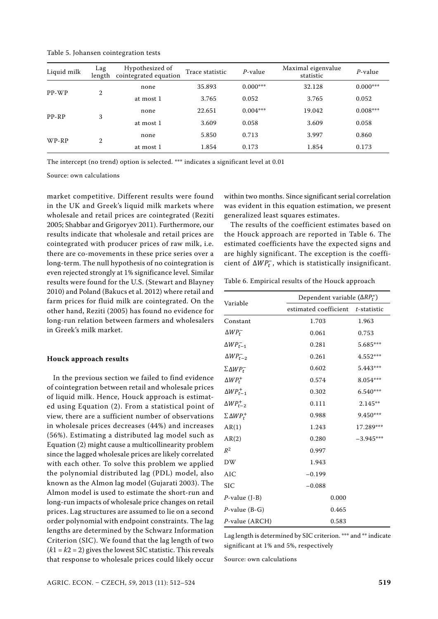Table 5. Johansen cointegration tests

| Liquid milk | Lag<br>length | Hypothesized of<br>cointegrated equation | Trace statistic | $P$ -value | Maximal eigenvalue<br>statistic | $P$ -value |
|-------------|---------------|------------------------------------------|-----------------|------------|---------------------------------|------------|
| PP-WP       |               | none                                     | 35.893          | $0.000***$ | 32.128                          | $0.000***$ |
|             | 2             | at most 1                                | 3.765           | 0.052      | 3.765                           | 0.052      |
|             |               | none                                     | 22.651          | $0.004***$ | 19.042                          | $0.008***$ |
| PP-RP       | 3             | at most 1                                | 3.609           | 0.058      | 3.609                           | 0.058      |
|             |               | none                                     | 5.850           | 0.713      | 3.997                           | 0.860      |
| WP-RP       | 2             | at most 1                                | 1.854           | 0.173      | 1.854                           | 0.173      |

The intercept (no trend) option is selected. \*\*\* indicates a significant level at 0.01

Source: own calculations

market competitive. Different results were found in the UK and Greek's liquid milk markets where wholesale and retail prices are cointegrated (Reziti 2005; Shabbar and Grigoryev 2011). Furthermore, our results indicate that wholesale and retail prices are cointegrated with producer prices of raw milk, i.e. there are co-movements in these price series over a long-term. The null hypothesis of no cointegration is even rejected strongly at 1% significance level. Similar results were found for the U.S. (Stewart and Blayney 2010) and Poland (Bakucs et al. 2012) where retail and farm prices for fluid milk are cointegrated. On the other hand, Reziti (2005) has found no evidence for long-run relation between farmers and wholesalers in Greek's milk market.

## **Houck approach results**

In the previous section we failed to find evidence of cointegration between retail and wholesale prices of liquid milk. Hence, Houck approach is estimated using Equation (2). From a statistical point of view, there are a sufficient number of observations in wholesale prices decreases (44%) and increases (56%). Estimating a distributed lag model such as Equation (2) might cause a multicollinearity problem since the lagged wholesale prices are likely correlated with each other. To solve this problem we applied the polynomial distributed lag (PDL) model, also known as the Almon lag model (Gujarati 2003). The Almon model is used to estimate the short-run and long-run impacts of wholesale price changes on retail prices. Lag structures are assumed to lie on a second order polynomial with endpoint constraints. The lag lengths are determined by the Schwarz Information Criterion (SIC). We found that the lag length of two  $(k1 = k2 = 2)$  gives the lowest SIC statistic. This reveals that response to wholesale prices could likely occur within two months. Since significant serial correlation was evident in this equation estimation, we present generalized least squares estimates.

The results of the coefficient estimates based on the Houck approach are reported in Table 6. The estimated coefficients have the expected signs and are highly significant. The exception is the coefficient of  $\Delta WP_t^{\text{-}}$ , which is statistically insignificant.

Table 6. Empirical results of the Houck approach

| Variable                            | Dependent variable $(\Delta RP_t^*)$ |             |
|-------------------------------------|--------------------------------------|-------------|
|                                     | estimated coefficient                | t-statistic |
| Constant                            | 1.703                                | 1.963       |
| $\Delta WP^{\scriptscriptstyle-}_r$ | 0.061                                | 0.753       |
| $\Delta WP_{t-1}^-$                 | 0.281                                | 5.685***    |
| $\Delta WP_{t-2}^-$                 | 0.261                                | 4.552***    |
| $\Sigma \Delta W P_t^-$             | 0.602                                | 5.443***    |
| $\Delta WP_t^+$                     | 0.574                                | $8.054***$  |
| $\Delta WP_{t-1}^+$                 | 0.302                                | 6.540***    |
| $\Delta WP_{t-2}^+$                 | 0.111                                | 2.145**     |
| $\Sigma \Delta W P_t^+$             | 0.988                                | 9.450***    |
| AR(1)                               | 1.243                                | 17.289***   |
| AR(2)                               | 0.280                                | $-3.945***$ |
| $R^2$                               | 0.997                                |             |
| DW                                  | 1.943                                |             |
| AIC                                 | $-0.199$                             |             |
| SIC                                 | $-0.088$                             |             |
| $P$ -value (J-B)                    | 0.000                                |             |
| P-value (B-G)                       | 0.465                                |             |
| P-value (ARCH)                      | 0.583                                |             |

Lag length is determined by SIC criterion. \*\*\* and \*\* indicate significant at 1% and 5%, respectively

Source: own calculations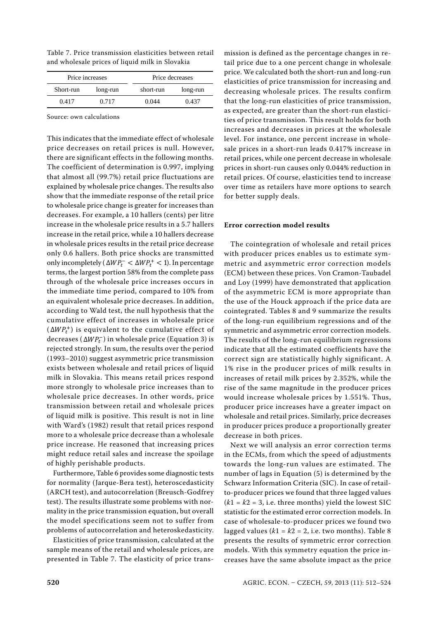Table 7. Price transmission elasticities between retail and wholesale prices of liquid milk in Slovakia

| Price increases |          | Price decreases |          |
|-----------------|----------|-----------------|----------|
| Short-run       | long-run | short-run       | long-run |
| 0.417           | 0.717    | 0.044           | 0.437    |

Source: own calculations

This indicates that the immediate effect of wholesale price decreases on retail prices is null. However, there are significant effects in the following months. The coefficient of determination is 0.997, implying that almost all (99.7%) retail price fluctuations are explained by wholesale price changes. The results also show that the immediate response of the retail price to wholesale price change is greater for increases than decreases. For example, a 10 hallers (cents) per litre increase in the wholesale price results in a 5.7 hallers increase in the retail price, while a 10 hallers decrease in wholesale prices results in the retail price decrease only 0.6 hallers. Both price shocks are transmitted only incompletely ( $\Delta WP_t^- < \Delta WP_t^+ < 1$ ). In percentage terms, the largest portion 58% from the complete pass through of the wholesale price increases occurs in the immediate time period, compared to 10% from an equivalent wholesale price decreases. In addition, according to Wald test, the null hypothesis that the cumulative effect of increases in wholesale price  $(\Delta WP_t^+)$  is equivalent to the cumulative effect of decreases ( $\Delta WP_t^-$ ) in wholesale price (Equation 3) is rejected strongly. In sum, the results over the period (1993–2010) suggest asymmetric price transmission exists between wholesale and retail prices of liquid milk in Slovakia. This means retail prices respond more strongly to wholesale price increases than to wholesale price decreases. In other words, price transmission between retail and wholesale prices of liquid milk is positive. This result is not in line with Ward's (1982) result that retail prices respond more to a wholesale price decrease than a wholesale price increase. He reasoned that increasing prices might reduce retail sales and increase the spoilage of highly perishable products.

Furthermore, Table 6 provides some diagnostic tests for normality (Jarque-Bera test), heteroscedasticity (ARCH test), and autocorrelation (Breusch-Godfrey test). The results illustrate some problems with normality in the price transmission equation, but overall the model specifications seem not to suffer from problems of autocorrelation and heteroskedasticity.

Elasticities of price transmission, calculated at the sample means of the retail and wholesale prices, are presented in Table 7. The elasticity of price trans-

mission is defined as the percentage changes in retail price due to a one percent change in wholesale price. We calculated both the short-run and long-run elasticities of price transmission for increasing and decreasing wholesale prices. The results confirm that the long-run elasticities of price transmission, as expected, are greater than the short-run elasticities of price transmission. This result holds for both increases and decreases in prices at the wholesale level. For instance, one percent increase in wholesale prices in a short-run leads 0.417% increase in retail prices, while one percent decrease in wholesale prices in short-run causes only 0.044% reduction in retail prices. Of course, elasticities tend to increase over time as retailers have more options to search for better supply deals.

## **Error correction model results**

The cointegration of wholesale and retail prices with producer prices enables us to estimate symmetric and asymmetric error correction models (ECM) between these prices. Von Cramon-Taubadel and Loy (1999) have demonstrated that application of the asymmetric ECM is more appropriate than the use of the Houck approach if the price data are cointegrated. Tables 8 and 9 summarize the results of the long-run equilibrium regressions and of the symmetric and asymmetric error correction models. The results of the long-run equilibrium regressions indicate that all the estimated coefficients have the correct sign are statistically highly significant. A 1% rise in the producer prices of milk results in increases of retail milk prices by 2.352%, while the rise of the same magnitude in the producer prices would increase wholesale prices by 1.551%. Thus, producer price increases have a greater impact on wholesale and retail prices. Similarly, price decreases in producer prices produce a proportionally greater decrease in both prices.

Next we will analysis an error correction terms in the ECMs, from which the speed of adjustments towards the long-run values are estimated. The number of lags in Equation (5) is determined by the Schwarz Information Criteria (SIC). In case of retailto-producer prices we found that three lagged values  $(k1 = k2 = 3, i.e.$  three months) yield the lowest SIC statistic for the estimated error correction models. In case of wholesale-to-producer prices we found two lagged values  $(k1 = k2 = 2, i.e.$  two months). Table 8 presents the results of symmetric error correction models. With this symmetry equation the price increases have the same absolute impact as the price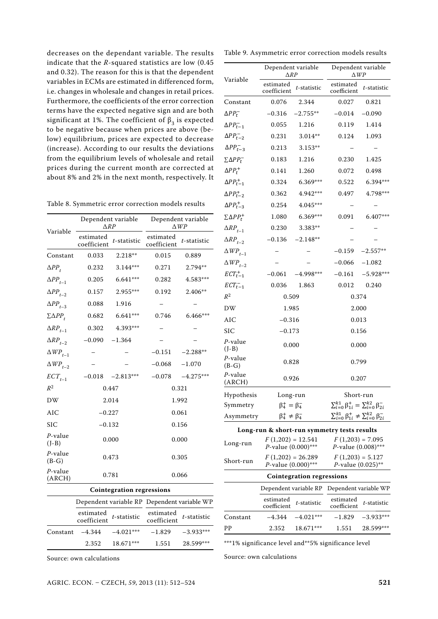decreases on the dependant variable. The results indicate that the *R*-squared statistics are low (0.45 and 0.32). The reason for this is that the dependent variables in ECMs are estimated in differenced form, i.e. changes in wholesale and changes in retail prices. Furthermore, the coefficients of the error correction terms have the expected negative sign and are both significant at 1%. The coefficient of  $\beta_3$  is expected to be negative because when prices are above (below) equilibrium, prices are expected to decrease (increase). According to our results the deviations from the equilibrium levels of wholesale and retail prices during the current month are corrected at about 8% and 2% in the next month, respectively. It

Table 9. Asymmetric error correction models results

| Variable               | Dependent variable<br>$\Delta RP$            |                                  | Dependent variable<br>ΔWP                                          |                    |
|------------------------|----------------------------------------------|----------------------------------|--------------------------------------------------------------------|--------------------|
|                        | estimated<br>coefficient                     | t-statistic                      | estimated<br>coefficient                                           | t-statistic        |
| Constant               | 0.076                                        | 2.344                            | 0.027                                                              | 0.821              |
| $\Delta PP_t^-$        | $-0.316$                                     | $-2.755**$                       | $-0.014$                                                           | $-0.090$           |
| $\Delta PP_{t-1}^-$    | 0.055                                        | 1.216                            | 0.119                                                              | 1.414              |
| $\Delta PP_{t-2}^-$    | 0.231                                        | 3.014**                          | 0.124                                                              | 1.093              |
| $\Delta PP_{t-3}^-$    | 0.213                                        | $3.153**$                        |                                                                    |                    |
| $\Sigma \Delta PP_t^-$ | 0.183                                        | 1.216                            | 0.230                                                              | 1.425              |
| $\Delta PP_t^+$        | 0.141                                        | 1.260                            | 0.072                                                              | 0.498              |
| $\Delta PP_{t-1}^+$    | 0.324                                        | 6.369***                         | 0.522                                                              | 6.394***           |
| $\Delta PP_{t-2}^+$    | 0.362                                        | 4.942***                         | 0.497                                                              | 4.798***           |
| $\Delta PP_{t-3}^+$    | 0.254                                        | 4.045***                         |                                                                    |                    |
| $\Sigma \Delta PP_t^+$ | 1.080                                        | 6.369***                         | 0.091                                                              | 6.407***           |
| $\Delta RP_{t-1}$      | 0.230                                        | 3.383**                          |                                                                    |                    |
| $\Delta RP_{t-2}$      | $-0.136$                                     | $-2.148**$                       |                                                                    |                    |
| $\Delta W P_{t-1}$     |                                              |                                  | $-0.159$                                                           | $-2.557**$         |
| $\Delta W P_{t-2}$     |                                              |                                  | $-0.066$                                                           | $-1.082$           |
| $ECT_{t-1}^+$          | $-0.061$                                     | -4.998***                        |                                                                    | $-0.161 -5.928***$ |
| $ECT_{t-1}^-$          | 0.036                                        | 1.863                            | 0.012                                                              | 0.240              |
| $R^2$                  | 0.509                                        |                                  | 0.374                                                              |                    |
| <b>DW</b>              |                                              | 1.985<br>2.000                   |                                                                    |                    |
| AIC                    | $-0.316$                                     |                                  | 0.013                                                              |                    |
| <b>SIC</b>             | $-0.173$                                     |                                  | 0.156                                                              |                    |
| P-value<br>$(J-B)$     | 0.000                                        |                                  | 0.000                                                              |                    |
| $P$ -value<br>$(B-G)$  | 0.828                                        |                                  | 0.799                                                              |                    |
| $P$ -value<br>(ARCH)   | 0.926                                        |                                  | 0.207                                                              |                    |
| Hypothesis             | Long-run                                     |                                  | Short-run                                                          |                    |
| Symmetry               | $\beta_4^+ = \beta_4^-$                      |                                  | $\sum_{i=0}^{k_1} \beta_{1i}^+ = \sum_{i=0}^{k_2} \beta_{2i}^-$    |                    |
| Asymmetry              | $\beta_4^+ \neq \beta_4^-$                   |                                  | $\sum_{i=0}^{k_1} \beta_{1i}^+ \neq \sum_{i=0}^{k_2} \beta_{2i}^-$ |                    |
|                        |                                              |                                  | Long-run & short-run symmetry tests results                        |                    |
| Long-run               | $F(1,202) = 12.541$<br>P-value $(0.000)$ *** |                                  | $F(1,203) = 7.095$<br>P-value $(0.008)$ ***                        |                    |
| Short-run              | $F(1,202) = 26.289$<br>P-value (0.000)***    |                                  | $F(1,203) = 5.127$<br>P-value $(0.025)$ **                         |                    |
|                        |                                              | <b>Cointegration regressions</b> |                                                                    |                    |
|                        | Dependent variable RP                        |                                  | Dependent variable WP                                              |                    |
|                        | estimated<br>coefficient                     | $t$ -statistic                   | estimated<br>coefficient                                           | t-statistic        |
| Constant               | $-4.344$                                     | $-4.021***$                      | $-1.829$                                                           | $-3.933***$        |
| PP                     | 2.352                                        | 18.671***                        | 1.551                                                              | 28.599***          |

Table 8. Symmetric error correction models results

| Variable              | Dependent variable<br>$\triangle RP$ |                                  | Dependent variable<br>$\triangle WP$ |                                             |  |
|-----------------------|--------------------------------------|----------------------------------|--------------------------------------|---------------------------------------------|--|
|                       | estimated<br>coefficient             | t-statistic                      | estimated<br>coefficient             | $t$ -statistic                              |  |
| Constant              | 0.033                                | $2.218**$                        | 0.015                                | 0.889                                       |  |
| $\Delta PP_{t}$       | 0.232                                | $3.144***$                       | 0.271                                | 2.794**                                     |  |
| $\Delta PP_{t-1}$     | 0.205                                | $6.641***$                       | 0.282                                | 4.583***                                    |  |
| $\Delta PP_{t-2}$     | 0.157                                | 2.955***                         | 0.192                                | 2.406**                                     |  |
| $\Delta PP_{t-3}$     | 0.088                                | 1.916                            |                                      |                                             |  |
| $\Sigma \Delta PP_t$  | 0.682                                | 6.641***                         | 0.746                                | 6.466***                                    |  |
| $\Delta RP_{t-1}$     | 0.302                                | 4.393***                         |                                      |                                             |  |
| $\Delta RP_{t-2}$     | $-0.090$                             | $-1.364$                         |                                      |                                             |  |
| $\Delta W P_{t-1}$    |                                      |                                  | $-0.151$                             | $-2.288**$                                  |  |
| $\Delta W P_{t-2}$    |                                      |                                  | $-0.068$                             | $-1.070$                                    |  |
| $ECT_{t-1}$           | $-0.018$                             | $-2.813***$                      | $-0.078$                             | $-4.275***$                                 |  |
| $R^2$                 |                                      | 0.447                            |                                      | 0.321                                       |  |
| DW                    |                                      | 2.014                            |                                      | 1.992                                       |  |
| AIC                   | $-0.227$                             |                                  |                                      | 0.061                                       |  |
| <b>SIC</b>            | $-0.132$                             |                                  |                                      | 0.156                                       |  |
| $P$ -value<br>$(J-B)$ |                                      | 0.000                            |                                      | 0.000                                       |  |
| $P$ -value<br>$(B-G)$ |                                      | 0.473                            | 0.305                                |                                             |  |
| $P$ -value<br>(ARCH)  |                                      | 0.781                            |                                      | 0.066                                       |  |
|                       |                                      | <b>Cointegration regressions</b> |                                      |                                             |  |
|                       |                                      |                                  |                                      | Dependent variable RP Dependent variable WP |  |

| ***1% significance level and**5% significance level |  |  |  |  |
|-----------------------------------------------------|--|--|--|--|
|-----------------------------------------------------|--|--|--|--|

Source: own calculations

Source: own calculations

estimated

estimated<br>coefficient *t*-statistic estimated<br>coefficient

Constant –4.344 –4.021\*\*\* –1.829 –3.933\*\*\*

2.352 18.671\*\*\* 1.551 28.599\*\*\*

coefficient *<sup>t</sup>*-statistic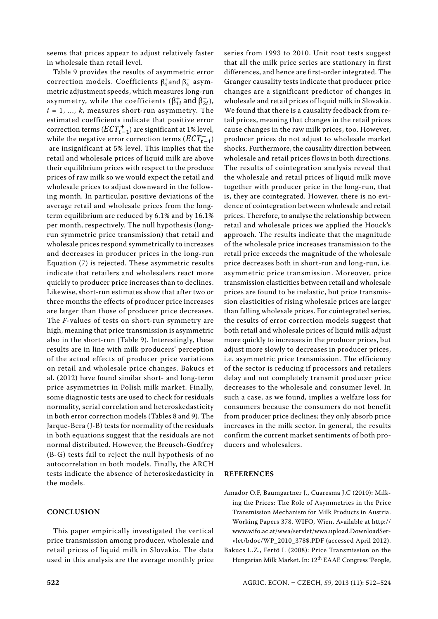seems that prices appear to adjust relatively faster in wholesale than retail level.

Table 9 provides the results of asymmetric error correction models. Coefficients  $\beta_4^+$  and  $\beta_4^-$  asymmetric adjustment speeds, which measures long-run asymmetry, while the coefficients  $(\beta^+_{1i}$  and  $\beta^-_{2i}),$  $i = 1, ..., k$ , measures short-run asymmetry. The estimated coefficients indicate that positive error correction terms ( $\mathit{ECT}_{t-1}^+$ ) are significant at 1% level, while the negative error correction terms ( $\textit{ECT}^-_{t-1}$ ) are insignificant at 5% level. This implies that the retail and wholesale prices of liquid milk are above their equilibrium prices with respect to the produce prices of raw milk so we would expect the retail and wholesale prices to adjust downward in the following month. In particular, positive deviations of the average retail and wholesale prices from the longterm equilibrium are reduced by 6.1% and by 16.1% per month, respectively. The null hypothesis (longrun symmetric price transmission) that retail and wholesale prices respond symmetrically to increases and decreases in producer prices in the long-run Equation (7) is rejected. These asymmetric results indicate that retailers and wholesalers react more quickly to producer price increases than to declines. Likewise, short-run estimates show that after two or three months the effects of producer price increases are larger than those of producer price decreases. The *F*-values of tests on short-run symmetry are high, meaning that price transmission is asymmetric also in the short-run (Table 9). Interestingly, these results are in line with milk producers' perception of the actual effects of producer price variations on retail and wholesale price changes. Bakucs et al. (2012) have found similar short- and long-term price asymmetries in Polish milk market. Finally, some diagnostic tests are used to check for residuals normality, serial correlation and heteroskedasticity in both error correction models (Tables 8 and 9). The Jarque-Bera (J-B) tests for normality of the residuals in both equations suggest that the residuals are not normal distributed. However, the Breusch-Godfrey (B-G) tests fail to reject the null hypothesis of no autocorrelation in both models. Finally, the ARCH tests indicate the absence of heteroskedasticity in the models.

# **CONCLUSION**

This paper empirically investigated the vertical price transmission among producer, wholesale and retail prices of liquid milk in Slovakia. The data used in this analysis are the average monthly price series from 1993 to 2010. Unit root tests suggest that all the milk price series are stationary in first differences, and hence are first-order integrated. The Granger causality tests indicate that producer price changes are a significant predictor of changes in wholesale and retail prices of liquid milk in Slovakia. We found that there is a causality feedback from retail prices, meaning that changes in the retail prices cause changes in the raw milk prices, too. However, producer prices do not adjust to wholesale market shocks. Furthermore, the causality direction between wholesale and retail prices flows in both directions. The results of cointegration analysis reveal that the wholesale and retail prices of liquid milk move together with producer price in the long-run, that is, they are cointegrated. However, there is no evidence of cointegration between wholesale and retail prices. Therefore, to analyse the relationship between retail and wholesale prices we applied the Houck's approach. The results indicate that the magnitude of the wholesale price increases transmission to the retail price exceeds the magnitude of the wholesale price decreases both in short-run and long-run, i.e. asymmetric price transmission. Moreover, price transmission elasticities between retail and wholesale prices are found to be inelastic, but price transmission elasticities of rising wholesale prices are larger than falling wholesale prices. For cointegrated series, the results of error correction models suggest that both retail and wholesale prices of liquid milk adjust more quickly to increases in the producer prices, but adjust more slowly to decreases in producer prices, i.e. asymmetric price transmission. The efficiency of the sector is reducing if processors and retailers delay and not completely transmit producer price decreases to the wholesale and consumer level. In such a case, as we found, implies a welfare loss for consumers because the consumers do not benefit from producer price declines; they only absorb price increases in the milk sector. In general, the results confirm the current market sentiments of both producers and wholesalers.

## **REFERENCES**

- Amador O.F, Baumgartner J., Cuaresma J.C (2010): Milking the Prices: The Role of Asymmetries in the Price Transmission Mechanism for Milk Products in Austria. Working Papers 378. WIFO, Wien, Available at http:// www.wifo.ac.at/wwa/servlet/wwa.upload.DownloadServlet/bdoc/WP\_2010\_378\$.PDF (accessed April 2012).
- Bakucs L.Z., Fertö I. (2008): Price Transmission on the Hungarian Milk Market. In: 12<sup>th</sup> EAAE Congress 'People,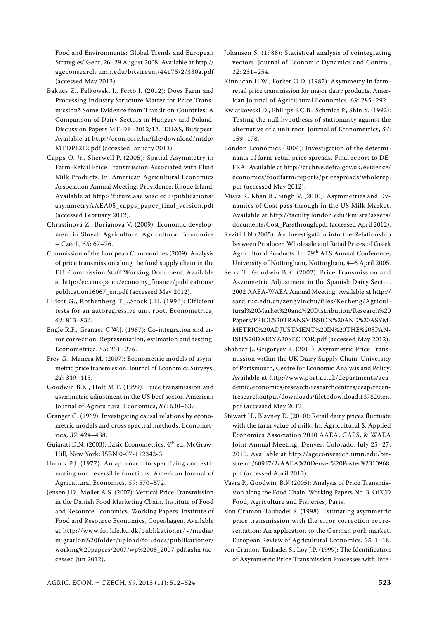Food and Environments: Global Trends and European Strategies'. Gent, 26–29 August 2008. Available at http:// ageconsearch.umn.edu/bitstream/44175/2/330a.pdf (accessed May 2012).

- Bakucs Z., Falkowski J., Fertö I. (2012): Does Farm and Processing Industry Structure Matter for Price Transmission? Some Evidence from Transition Countries: A Comparison of Dairy Sectors in Hungary and Poland. Discussion Papers MT-DP -2012/12. IEHAS, Budapest. Available at http://econ.core.hu/file/download/mtdp/ MTDP1212.pdf (accessed January 2013).
- Capps O. Jr., Sherwell P. (2005): Spatial Asymmetry in Farm-Retail Price Transmission Associated with Fluid Milk Products. In: American Agricultural Economics Association Annual Meeting, Providence, Rhode Island. Available at http://future.aae.wisc.edu/publications/ asymmetryAAEA05\_capps\_paper\_final\_version.pdf (accessed February 2012).
- Chrastinová Z., Burianová V. (2009): Economic development in Slovak Agriculture. Agricultural Economics – Czech, *55*: 67–76.
- Commission of the European Communities (2009): Analysis of price transmission along the food supply chain in the EU: Commission Staff Working Document. Available at http://ec.europa.eu/economy\_finance/publications/ publication16067\_en.pdf (accessed May 2012).
- Elliott G., Rothenberg T.J.,Stock J.H. (1996): Efficient tests for an autoregressive unit root. Econometrica, *64*: 813–836.
- Engle R.F., Granger C.W.J. (1987): Co-integration and error correction: Representation, estimation and testing. Econometrica, *55*: 251–276.
- Frey G., Manera M. (2007): Econometric models of asymmetric price transmission. Journal of Economics Surveys, *21*: 349–415.
- Goodwin B.K., Holt M.T. (1999): Price transmission and asymmetric adjustment in the US beef sector. American Journal of Agricultural Economics, *81*: 630–637.
- Granger C. (1969): Investigating causal relations by econometric models and cross spectral methods. Econometrica, *37*: 424–438.
- Gujarati D.N. (2003): Basic Econometrics. 4<sup>th</sup> ed. McGraw-Hill, New York; ISBN 0-07-112342-3.
- Houck P.J. (1977): An approach to specifying and estimating non reversible functions. American Journal of Agricultural Economics, *59*: 570–572.

Jensen J.D., Møller A.S. (2007): Vertical Price Transmission in the Danish Food Marketing Chain. Institute of Food and Resource Economics. Working Papers. Institute of Food and Resource Economics, Copenhagen. Available at http://www.foi.life.ku.dk/publikationer/~/media/ migration%20folder/upload/foi/docs/publikationer/ working%20papers/2007/wp%2008\_2007.pdf.ashx (accessed Jun 2012).

- Johansen S. (1988): Statistical analysis of cointegrating vectors. Journal of Economic Dynamics and Control, *12*: 231–254.
- Kinnucan H.W., Forker O.D. (1987): Asymmetry in farmretail price transmission for major dairy products. American Journal of Agricultural Economics, *69*: 285–292.
- Kwiatkowski D., Phillips P.C.B., Schmidt P., Shin Y. (1992): Testing the null hypothesis of stationarity against the alternative of a unit root. Journal of Econometrics, *54*: 159–178.
- London Economics (2004): Investigation of the determinants of farm-retail price spreads. Final report to DE-FRA. Available at http://archive.defra.gov.uk/evidence/ economics/foodfarm/reports/pricespreads/wholerep. pdf (accessed May 2012).

Misra K. Khan R., Singh V. (2010): Asymmetries and Dynamics of Cost pass through in the US Milk Market. Available at http://faculty.london.edu/kmisra/assets/ documents/Cost\_Passthrough.pdf (accessed April 2012).

- Reziti I.N (2005): An Investigation into the Relationship between Producer, Wholesale and Retail Prices of Greek Agricultural Products. In: 79th AES Annual Conference, University of Nottingham, Nottingham, 4–6 April 2005.
- Serra T., Goodwin B.K. (2002): Price Transmission and Asymmetric Adjustment in the Spanish Dairy Sector. 2002 AAEA-WAEA Annual Meeting. Available at http:// sard.ruc.edu.cn/zengyinchu/files/Kecheng/Agricultural%20Market%20and%20Distribution/Research%20 Papers/PRICE%20TRANSMISSION%20AND%20ASYM-METRIC%20ADJUSTMENT%20IN%20THE%20SPAN-ISH%20DAIRY%20SECTOR.pdf (accessed May 2012).
- Shabbar J., Grigoryev R. (2011): Asymmetric Price Transmission within the UK Dairy Supply Chain. University of Portsmouth, Centre for Economic Analysis and Policy. Available at http://www.port.ac.uk/departments/academic/economics/research/researchcentres/ceap/recentresearchoutput/downloads/filetodownload,137820,en. pdf (accessed May 2012).
- Stewart H., Blayney D. (2010): Retail dairy prices fluctuate with the farm value of milk. In: Agricultural & Applied Economics Association 2010 AAEA, CAES, & WAEA Joint Annual Meeting, Denver, Colorado, July 25–27, 2010. Available at http://ageconsearch.umn.edu/bitstream/60947/2/AAEA%20Denver%20Poster%2310968. pdf (accessed April 2012).
- Vavra P., Goodwin, B.K (2005): Analysis of Price Transmission along the Food Chain. Working Papers No. 3. OECD Food, Agriculture and Fisheries, Paris.
- Von Cramon-Taubadel S. (1998): Estimating asymmetric price transmission with the error correction representation: An application to the German pork market. European Review of Agricultural Economics, *25*: 1–18.
- von Cramon-Taubadel S., Loy J.P. (1999): The Identification of Asymmetric Price Transmission Processes with Inte-